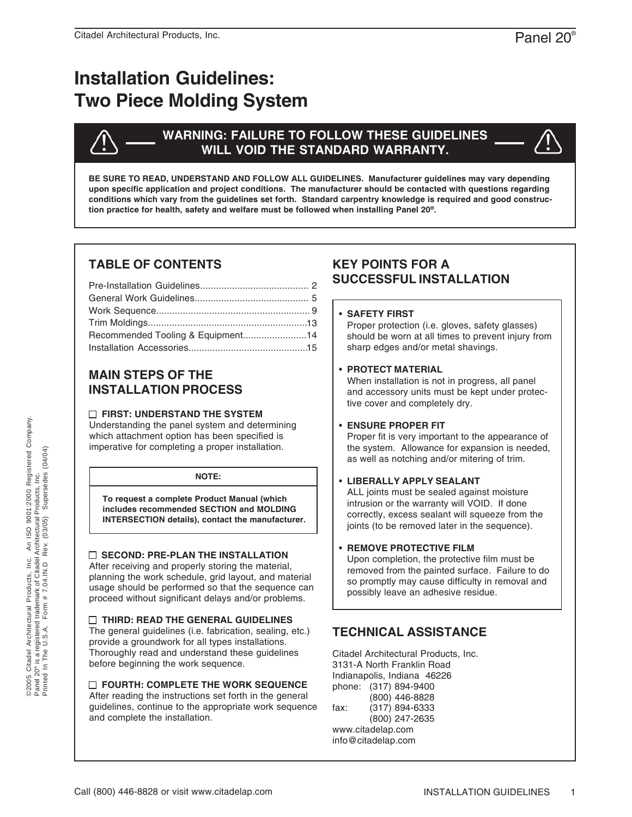# **Installation Guidelines: Two Piece Molding System**



## **WARNING: FAILURE TO FOLLOW THESE GUIDELINES WILL VOID THE STANDARD WARRANTY.**

**BE SURE TO READ, UNDERSTAND AND FOLLOW ALL GUIDELINES. Manufacturer guidelines may vary depending upon specific application and project conditions. The manufacturer should be contacted with questions regarding conditions which vary from the guidelines set forth. Standard carpentry knowledge is required and good construction practice for health, safety and welfare must be followed when installing Panel 20®.**

# **TABLE OF CONTENTS**

| Recommended Tooling & Equipment14 |  |
|-----------------------------------|--|
|                                   |  |

# **MAIN STEPS OF THE INSTALLATION PROCESS**

## **FIRST: UNDERSTAND THE SYSTEM**

Understanding the panel system and determining which attachment option has been specified is imperative for completing a proper installation.

## **NOTE:**

**To request a complete Product Manual (which includes recommended SECTION and MOLDING INTERSECTION details), contact the manufacturer.**

## **SECOND: PRE-PLAN THE INSTALLATION**

After receiving and properly storing the material, planning the work schedule, grid layout, and material usage should be performed so that the sequence can proceed without significant delays and/or problems.

## **THIRD: READ THE GENERAL GUIDELINES**

The general guidelines (i.e. fabrication, sealing, etc.) provide a groundwork for all types installations. Thoroughly read and understand these guidelines before beginning the work sequence.

## **FOURTH: COMPLETE THE WORK SEQUENCE**

After reading the instructions set forth in the general guidelines, continue to the appropriate work sequence and complete the installation.

# **KEY POINTS FOR A SUCCESSFUL INSTALLATION**

## **SAFETY FIRST** •

Proper protection (i.e. gloves, safety glasses) should be worn at all times to prevent injury from sharp edges and/or metal shavings.

## **PROTECT MATERIAL** •

When installation is not in progress, all panel and accessory units must be kept under protective cover and completely dry.

## **ENSURE PROPER FIT** •

Proper fit is very important to the appearance of the system. Allowance for expansion is needed, as well as notching and/or mitering of trim.

## **LIBERALLY APPLY SEALANT** •

ALL joints must be sealed against moisture intrusion or the warranty will VOID. If done correctly, excess sealant will squeeze from the joints (to be removed later in the sequence).

## **• REMOVE PROTECTIVE FILM**

Upon completion, the protective film must be removed from the painted surface. Failure to do so promptly may cause difficulty in removal and possibly leave an adhesive residue.

# **TECHNICAL ASSISTANCE**

Citadel Architectural Products, Inc. 3131-A North Franklin Road Indianapolis, Indiana 46226 phone: (317) 894-9400 (800) 446-8828 fax: (317) 894-6333 (800) 247-2635 www.citadelap.com info@citadelap.com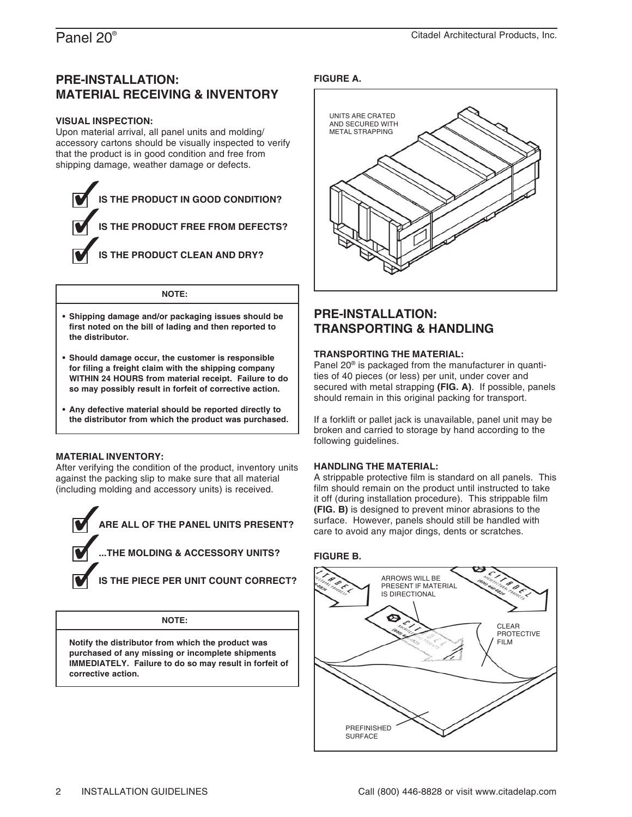## **PRE-INSTALLATION: MATERIAL RECEIVING & INVENTORY**

#### **VISUAL INSPECTION:**

Upon material arrival, all panel units and molding/ accessory cartons should be visually inspected to verify that the product is in good condition and free from shipping damage, weather damage or defects.



#### **NOTE:**

- **Shipping damage and/or packaging issues should be • first noted on the bill of lading and then reported to the distributor.**
- **Should damage occur, the customer is responsible • for filing a freight claim with the shipping company WITHIN 24 HOURS from material receipt. Failure to do so may possibly result in forfeit of corrective action.**
- **Any defective material should be reported directly to • the distributor from which the product was purchased.**

#### **MATERIAL INVENTORY:**

After verifying the condition of the product, inventory units against the packing slip to make sure that all material (including molding and accessory units) is received.



**NOTE:**

**Notify the distributor from which the product was purchased of any missing or incomplete shipments IMMEDIATELY. Failure to do so may result in forfeit of corrective action.**

### **FIGURE A.**



## **PRE-INSTALLATION: TRANSPORTING & HANDLING**

#### **TRANSPORTING THE MATERIAL:**

Panel 20® is packaged from the manufacturer in quantities of 40 pieces (or less) per unit, under cover and secured with metal strapping **(FIG. A)**. If possible, panels should remain in this original packing for transport.

If a forklift or pallet jack is unavailable, panel unit may be broken and carried to storage by hand according to the following guidelines.

#### **HANDLING THE MATERIAL:**

A strippable protective film is standard on all panels. This film should remain on the product until instructed to take it off (during installation procedure). This strippable film **(FIG. B)** is designed to prevent minor abrasions to the surface. However, panels should still be handled with care to avoid any major dings, dents or scratches.

#### **FIGURE B.**

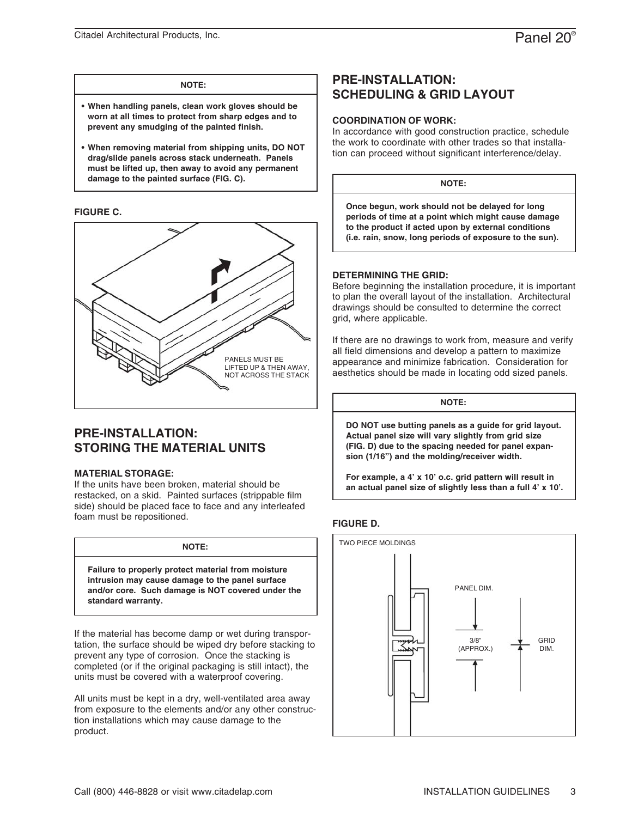#### **NOTE:**

- **When handling panels, clean work gloves should be • worn at all times to protect from sharp edges and to prevent any smudging of the painted finish.**
- **When removing material from shipping units, DO NOT • drag/slide panels across stack underneath. Panels must be lifted up, then away to avoid any permanent damage to the painted surface (FIG. C).**

#### **FIGURE C.**



## **PRE-INSTALLATION: STORING THE MATERIAL UNITS**

#### **MATERIAL STORAGE:**

If the units have been broken, material should be restacked, on a skid. Painted surfaces (strippable film side) should be placed face to face and any interleafed foam must be repositioned.

| NOTE:                                                                                                                                                                            |  |
|----------------------------------------------------------------------------------------------------------------------------------------------------------------------------------|--|
| Failure to properly protect material from moisture<br>intrusion may cause damage to the panel surface<br>and/or core. Such damage is NOT covered under the<br>standard warranty. |  |

If the material has become damp or wet during transportation, the surface should be wiped dry before stacking to prevent any type of corrosion. Once the stacking is completed (or if the original packaging is still intact), the units must be covered with a waterproof covering.

All units must be kept in a dry, well-ventilated area away from exposure to the elements and/or any other construction installations which may cause damage to the product.

## **PRE-INSTALLATION: SCHEDULING & GRID LAYOUT**

#### **COORDINATION OF WORK:**

In accordance with good construction practice, schedule the work to coordinate with other trades so that installation can proceed without significant interference/delay.

**NOTE:**

**Once begun, work should not be delayed for long periods of time at a point which might cause damage to the product if acted upon by external conditions (i.e. rain, snow, long periods of exposure to the sun).**

#### **DETERMINING THE GRID:**

Before beginning the installation procedure, it is important to plan the overall layout of the installation. Architectural drawings should be consulted to determine the correct grid, where applicable.

If there are no drawings to work from, measure and verify all field dimensions and develop a pattern to maximize appearance and minimize fabrication. Consideration for aesthetics should be made in locating odd sized panels.

**NOTE:**

**DO NOT use butting panels as a guide for grid layout. Actual panel size will vary slightly from grid size (FIG. D) due to the spacing needed for panel expansion (1/16") and the molding/receiver width.**

**For example, a 4' x 10' o.c. grid pattern will result in an actual panel size of slightly less than a full 4' x 10'.**

#### **FIGURE D.**

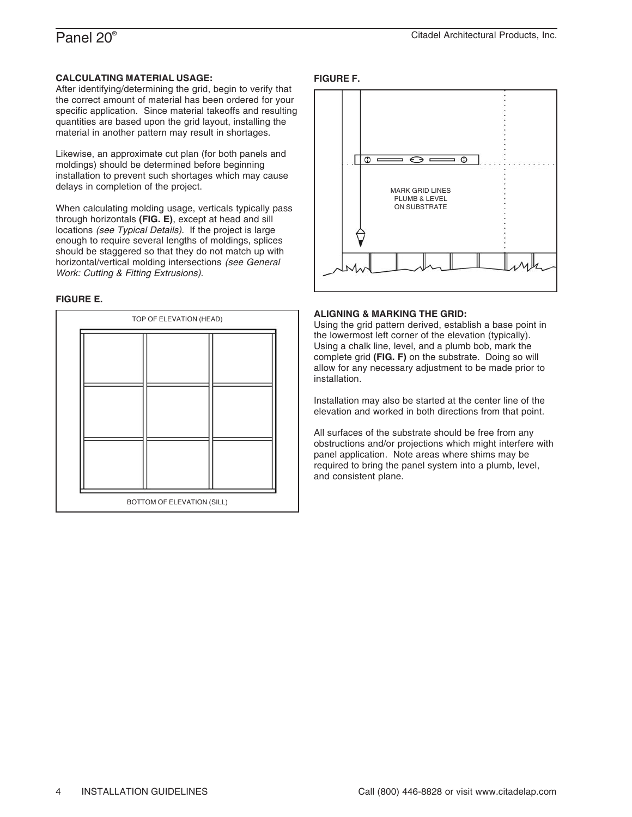#### **CALCULATING MATERIAL USAGE:**

After identifying/determining the grid, begin to verify that the correct amount of material has been ordered for your specific application. Since material takeoffs and resulting quantities are based upon the grid layout, installing the material in another pattern may result in shortages.

Likewise, an approximate cut plan (for both panels and moldings) should be determined before beginning installation to prevent such shortages which may cause delays in completion of the project.

When calculating molding usage, verticals typically pass through horizontals **(FIG. E)**, except at head and sill locations *(see Typical Details)*. If the project is large enough to require several lengths of moldings, splices should be staggered so that they do not match up with horizontal/vertical molding intersections *(see General Work: Cutting & Fitting Extrusions)*.

#### **FIGURE E.**

|                            | TOP OF ELEVATION (HEAD) |  |  |  |
|----------------------------|-------------------------|--|--|--|
|                            |                         |  |  |  |
| BOTTOM OF ELEVATION (SILL) |                         |  |  |  |

#### **FIGURE F.**



#### **ALIGNING & MARKING THE GRID:**

Using the grid pattern derived, establish a base point in the lowermost left corner of the elevation (typically). Using a chalk line, level, and a plumb bob, mark the complete grid **(FIG. F)** on the substrate. Doing so will allow for any necessary adjustment to be made prior to installation.

Installation may also be started at the center line of the elevation and worked in both directions from that point.

All surfaces of the substrate should be free from any obstructions and/or projections which might interfere with panel application. Note areas where shims may be required to bring the panel system into a plumb, level, and consistent plane.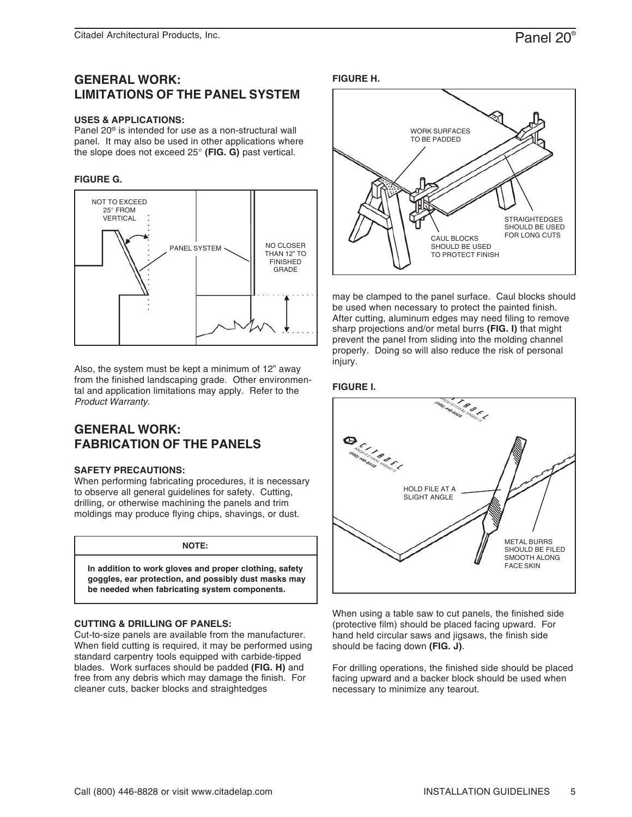## **GENERAL WORK: LIMITATIONS OF THE PANEL SYSTEM**

#### **USES & APPLICATIONS:**

Panel 20® is intended for use as a non-structural wall panel. It may also be used in other applications where the slope does not exceed 25° **(FIG. G)** past vertical.

#### **FIGURE G.**



Also, the system must be kept a minimum of 12" away from the finished landscaping grade. Other environmental and application limitations may apply. Refer to the *Product Warranty*.

## **GENERAL WORK: FABRICATION OF THE PANELS**

#### **SAFETY PRECAUTIONS:**

When performing fabricating procedures, it is necessary to observe all general guidelines for safety. Cutting, drilling, or otherwise machining the panels and trim moldings may produce flying chips, shavings, or dust.

#### **NOTE:**

**In addition to work gloves and proper clothing, safety goggles, ear protection, and possibly dust masks may be needed when fabricating system components.**

#### **CUTTING & DRILLING OF PANELS:**

Cut-to-size panels are available from the manufacturer. When field cutting is required, it may be performed using standard carpentry tools equipped with carbide-tipped blades. Work surfaces should be padded **(FIG. H)** and free from any debris which may damage the finish. For cleaner cuts, backer blocks and straightedges





may be clamped to the panel surface. Caul blocks should be used when necessary to protect the painted finish. After cutting, aluminum edges may need filing to remove sharp projections and/or metal burrs **(FIG. I)** that might prevent the panel from sliding into the molding channel properly. Doing so will also reduce the risk of personal injury.

#### **FIGURE I.**



When using a table saw to cut panels, the finished side (protective film) should be placed facing upward. For hand held circular saws and jigsaws, the finish side should be facing down **(FIG. J)**.

For drilling operations, the finished side should be placed facing upward and a backer block should be used when necessary to minimize any tearout.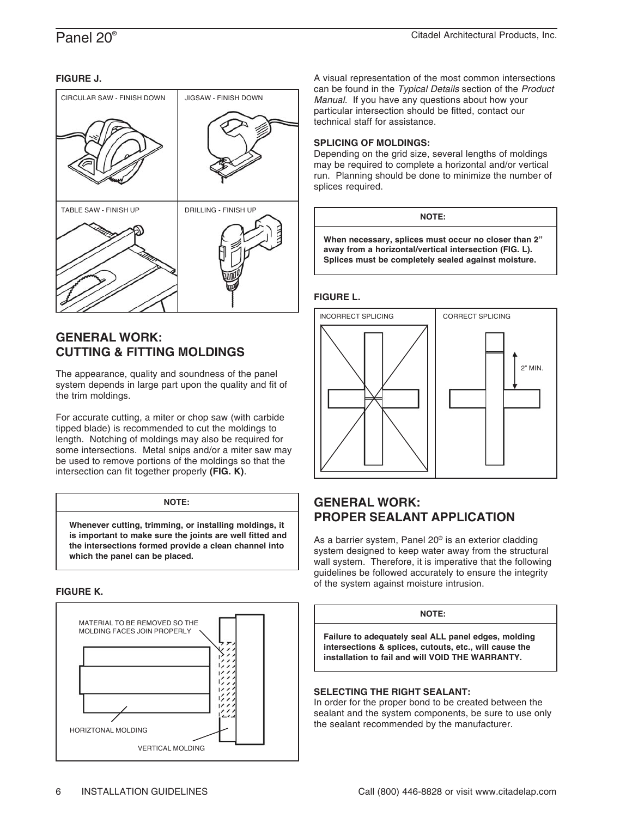#### **FIGURE J.**



## **GENERAL WORK: CUTTING & FITTING MOLDINGS**

The appearance, quality and soundness of the panel system depends in large part upon the quality and fit of the trim moldings.

For accurate cutting, a miter or chop saw (with carbide tipped blade) is recommended to cut the moldings to length. Notching of moldings may also be required for some intersections. Metal snips and/or a miter saw may be used to remove portions of the moldings so that the intersection can fit together properly **(FIG. K)**.

#### **NOTE:**

**Whenever cutting, trimming, or installing moldings, it is important to make sure the joints are well fitted and the intersections formed provide a clean channel into which the panel can be placed.**

#### **FIGURE K.**



A visual representation of the most common intersections can be found in the *Typical Details* section of the *Product Manual*. If you have any questions about how your particular intersection should be fitted, contact our technical staff for assistance.

#### **SPLICING OF MOLDINGS:**

Depending on the grid size, several lengths of moldings may be required to complete a horizontal and/or vertical run. Planning should be done to minimize the number of splices required.

#### **NOTE:**

**When necessary, splices must occur no closer than 2" away from a horizontal/vertical intersection (FIG. L). Splices must be completely sealed against moisture.**

#### **FIGURE L.**



## **GENERAL WORK: PROPER SEALANT APPLICATION**

As a barrier system, Panel 20® is an exterior cladding system designed to keep water away from the structural wall system. Therefore, it is imperative that the following guidelines be followed accurately to ensure the integrity of the system against moisture intrusion.

### **NOTE:**

**Failure to adequately seal ALL panel edges, molding intersections & splices, cutouts, etc., will cause the installation to fail and will VOID THE WARRANTY.**

#### **SELECTING THE RIGHT SEALANT:**

In order for the proper bond to be created between the sealant and the system components, be sure to use only the sealant recommended by the manufacturer.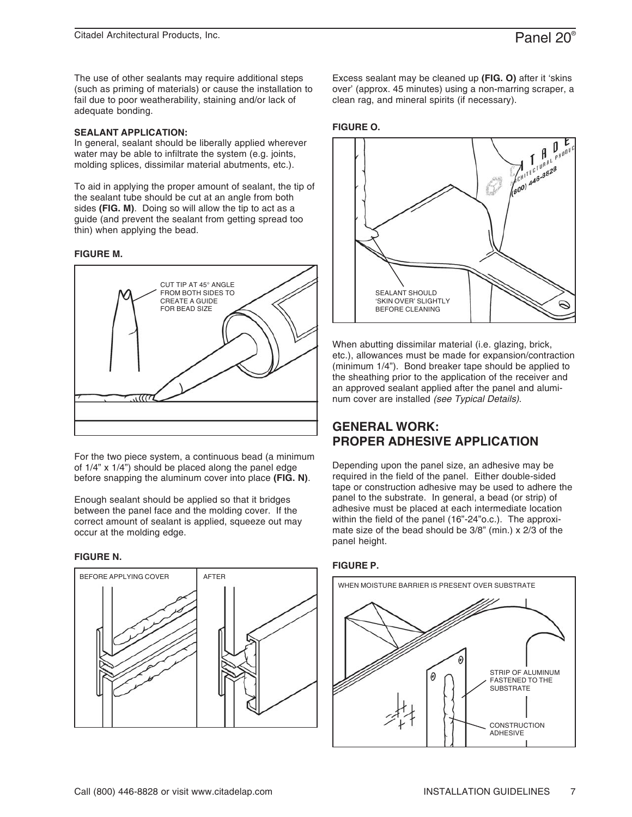The use of other sealants may require additional steps (such as priming of materials) or cause the installation to fail due to poor weatherability, staining and/or lack of adequate bonding.

#### **SEALANT APPLICATION:**

In general, sealant should be liberally applied wherever water may be able to infiltrate the system (e.g. joints, molding splices, dissimilar material abutments, etc.).

To aid in applying the proper amount of sealant, the tip of the sealant tube should be cut at an angle from both sides **(FIG. M)**. Doing so will allow the tip to act as a guide (and prevent the sealant from getting spread too thin) when applying the bead.

#### **FIGURE M.**



For the two piece system, a continuous bead (a minimum of 1/4" x 1/4") should be placed along the panel edge before snapping the aluminum cover into place **(FIG. N)**.

Enough sealant should be applied so that it bridges between the panel face and the molding cover. If the correct amount of sealant is applied, squeeze out may occur at the molding edge.

#### **FIGURE N.**



Excess sealant may be cleaned up **(FIG. O)** after it 'skins over' (approx. 45 minutes) using a non-marring scraper, a clean rag, and mineral spirits (if necessary).

#### **FIGURE O.**



When abutting dissimilar material (i.e. glazing, brick, etc.), allowances must be made for expansion/contraction (minimum 1/4"). Bond breaker tape should be applied to the sheathing prior to the application of the receiver and an approved sealant applied after the panel and aluminum cover are installed *(see Typical Details)*.

## **GENERAL WORK: PROPER ADHESIVE APPLICATION**

Depending upon the panel size, an adhesive may be required in the field of the panel. Either double-sided tape or construction adhesive may be used to adhere the panel to the substrate. In general, a bead (or strip) of adhesive must be placed at each intermediate location within the field of the panel (16"-24"o.c.). The approximate size of the bead should be 3/8" (min.) x 2/3 of the panel height.

#### **FIGURE P.**

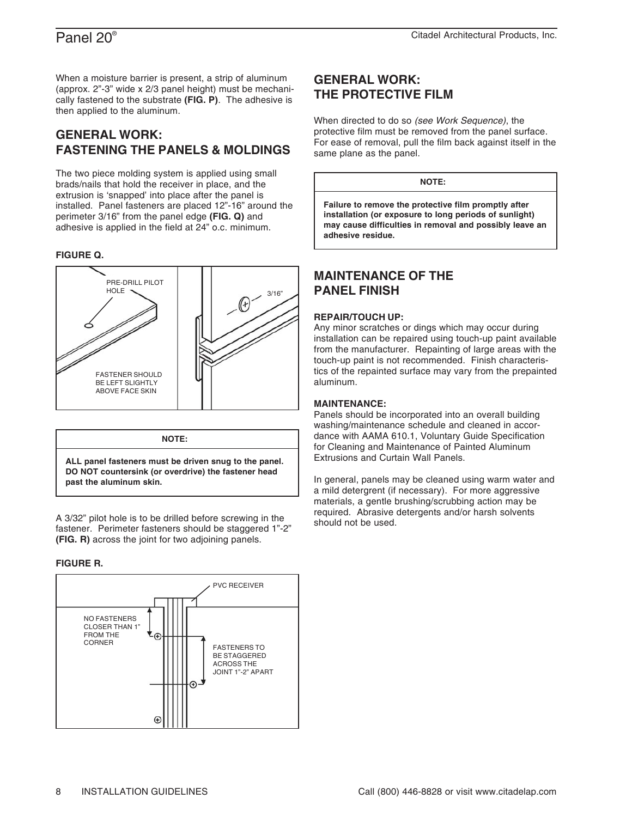When a moisture barrier is present, a strip of aluminum (approx. 2"-3" wide x 2/3 panel height) must be mechanically fastened to the substrate **(FIG. P)**. The adhesive is then applied to the aluminum.

## **GENERAL WORK: FASTENING THE PANELS & MOLDINGS**

The two piece molding system is applied using small brads/nails that hold the receiver in place, and the extrusion is 'snapped' into place after the panel is installed. Panel fasteners are placed 12"-16" around the perimeter 3/16" from the panel edge **(FIG. Q)** and adhesive is applied in the field at 24" o.c. minimum.

#### **FIGURE Q.**





A 3/32" pilot hole is to be drilled before screwing in the fastener. Perimeter fasteners should be staggered 1"-2" **(FIG. R)** across the joint for two adjoining panels.

#### **FIGURE R.**



## **GENERAL WORK: THE PROTECTIVE FILM**

When directed to do so *(see Work Sequence)*, the protective film must be removed from the panel surface. For ease of removal, pull the film back against itself in the same plane as the panel.

#### **NOTE:**

**Failure to remove the protective film promptly after installation (or exposure to long periods of sunlight) may cause difficulties in removal and possibly leave an adhesive residue.**

## **MAINTENANCE OF THE PANEL FINISH**

#### **REPAIR/TOUCH UP:**

Any minor scratches or dings which may occur during installation can be repaired using touch-up paint available from the manufacturer. Repainting of large areas with the touch-up paint is not recommended. Finish characteristics of the repainted surface may vary from the prepainted aluminum.

#### **MAINTENANCE:**

Panels should be incorporated into an overall building washing/maintenance schedule and cleaned in accordance with AAMA 610.1, Voluntary Guide Specification for Cleaning and Maintenance of Painted Aluminum Extrusions and Curtain Wall Panels.

In general, panels may be cleaned using warm water and a mild detergrent (if necessary). For more aggressive materials, a gentle brushing/scrubbing action may be required. Abrasive detergents and/or harsh solvents should not be used.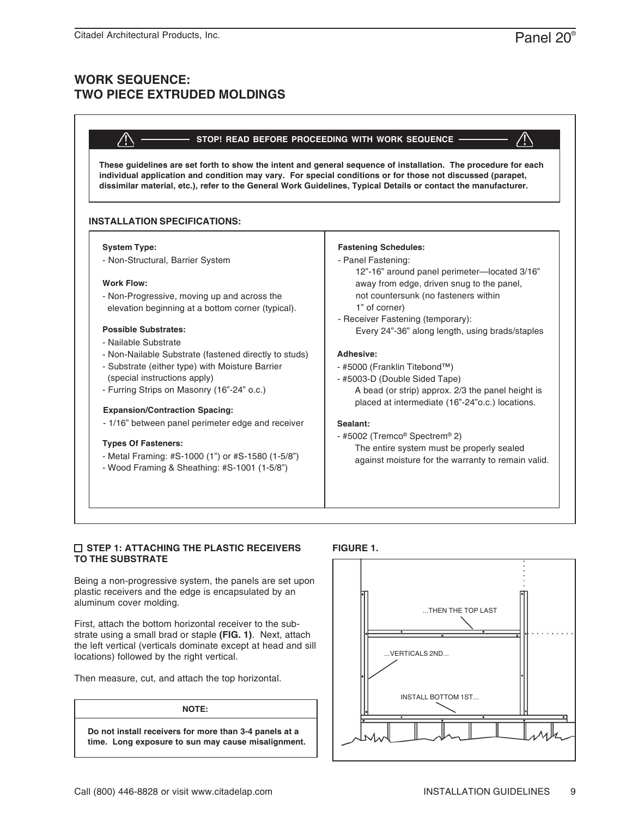## **WORK SEQUENCE: TWO PIECE EXTRUDED MOLDINGS**

#### **STOP! READ BEFORE PROCEEDING WITH WORK SEQUENCE**

**These guidelines are set forth to show the intent and general sequence of installation. The procedure for each individual application and condition may vary. For special conditions or for those not discussed (parapet, dissimilar material, etc.), refer to the General Work Guidelines, Typical Details or contact the manufacturer.**

#### **INSTALLATION SPECIFICATIONS:**

#### **System Type:**

- Non-Structural, Barrier System

#### **Work Flow:**

- Non-Progressive, moving up and across the elevation beginning at a bottom corner (typical).

#### **Possible Substrates:**

- Nailable Substrate
- Non-Nailable Substrate (fastened directly to studs)
- Substrate (either type) with Moisture Barrier (special instructions apply)
- Furring Strips on Masonry (16"-24" o.c.)

#### **Expansion/Contraction Spacing:**

- 1/16" between panel perimeter edge and receiver | Sealant:

#### **Types Of Fasteners:**

- Metal Framing: #S-1000 (1") or #S-1580 (1-5/8")
- Wood Framing & Sheathing: #S-1001 (1-5/8")

#### **Fastening Schedules:**

#### - Panel Fastening:

 12"-16" around panel perimeter—located 3/16" away from edge, driven snug to the panel, not countersunk (no fasteners within 1" of corner)

- Receiver Fastening (temporary): Every 24"-36" along length, using brads/staples

#### **Adhesive:**

- #5000 (Franklin Titebond™)
- #5003-D (Double Sided Tape) A bead (or strip) approx. 2/3 the panel height is placed at intermediate (16"-24"o.c.) locations.

- #5002 (Tremco® Spectrem® 2) The entire system must be properly sealed against moisture for the warranty to remain valid.

#### **STEP 1: ATTACHING THE PLASTIC RECEIVERS TO THE SUBSTRATE**

Being a non-progressive system, the panels are set upon plastic receivers and the edge is encapsulated by an aluminum cover molding.

First, attach the bottom horizontal receiver to the substrate using a small brad or staple **(FIG. 1)**. Next, attach the left vertical (verticals dominate except at head and sill locations) followed by the right vertical.

Then measure, cut, and attach the top horizontal.

#### **NOTE:**

**Do not install receivers for more than 3-4 panels at a time. Long exposure to sun may cause misalignment.**



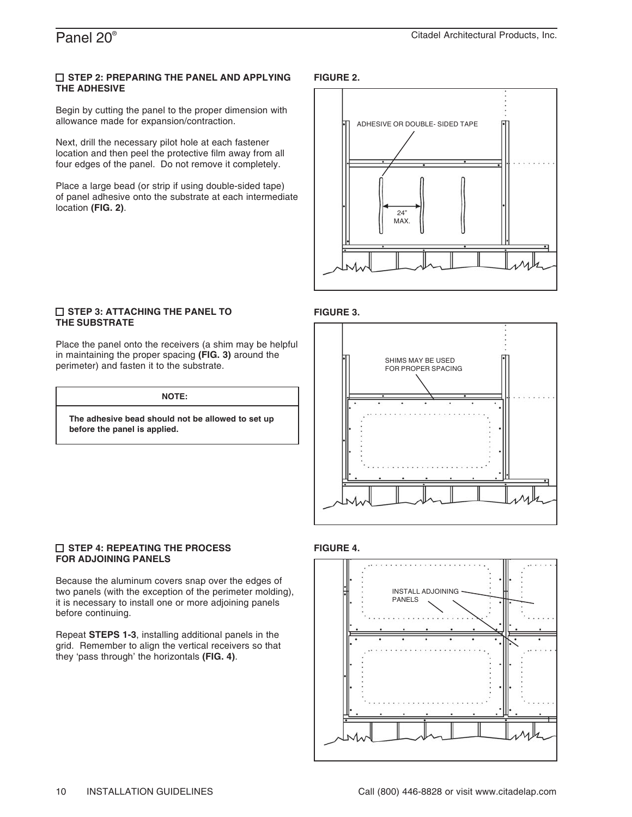#### **STEP 2: PREPARING THE PANEL AND APPLYING THE ADHESIVE**

Begin by cutting the panel to the proper dimension with allowance made for expansion/contraction.

Next, drill the necessary pilot hole at each fastener location and then peel the protective film away from all four edges of the panel. Do not remove it completely.

Place a large bead (or strip if using double-sided tape) of panel adhesive onto the substrate at each intermediate location **(FIG. 2)**.

### **FIGURE 2.**



#### **STEP 3: ATTACHING THE PANEL TO THE SUBSTRATE**

Place the panel onto the receivers (a shim may be helpful in maintaining the proper spacing **(FIG. 3)** around the perimeter) and fasten it to the substrate.

**NOTE:**

**The adhesive bead should not be allowed to set up before the panel is applied.**

#### **STEP 4: REPEATING THE PROCESS FOR ADJOINING PANELS**

Because the aluminum covers snap over the edges of two panels (with the exception of the perimeter molding), it is necessary to install one or more adjoining panels before continuing.

Repeat **STEPS 1-3**, installing additional panels in the grid. Remember to align the vertical receivers so that they 'pass through' the horizontals **(FIG. 4)**.

## **FIGURE 3.**



#### **FIGURE 4.**

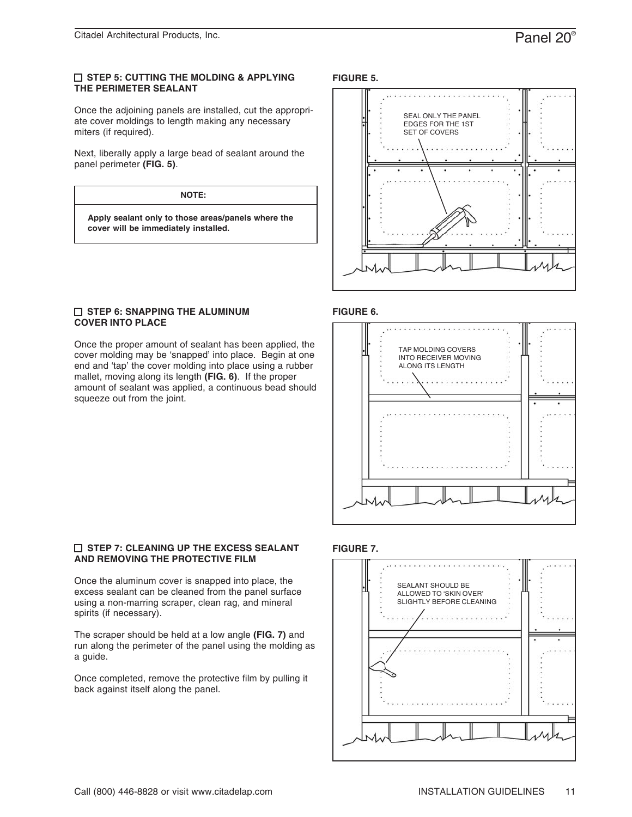#### **STEP 5: CUTTING THE MOLDING & APPLYING THE PERIMETER SEALANT**

Once the adjoining panels are installed, cut the appropriate cover moldings to length making any necessary miters (if required).

Next, liberally apply a large bead of sealant around the panel perimeter **(FIG. 5)**.

#### **NOTE:**

**Apply sealant only to those areas/panels where the cover will be immediately installed.**

#### **STEP 6: SNAPPING THE ALUMINUM COVER INTO PLACE**

Once the proper amount of sealant has been applied, the cover molding may be 'snapped' into place. Begin at one end and 'tap' the cover molding into place using a rubber mallet, moving along its length **(FIG. 6)**. If the proper amount of sealant was applied, a continuous bead should squeeze out from the joint.

#### **FIGURE 5.**



#### **FIGURE 6.**



### **FIGURE 7.**



#### **STEP 7: CLEANING UP THE EXCESS SEALANT AND REMOVING THE PROTECTIVE FILM**

Once the aluminum cover is snapped into place, the excess sealant can be cleaned from the panel surface using a non-marring scraper, clean rag, and mineral spirits (if necessary).

The scraper should be held at a low angle **(FIG. 7)** and run along the perimeter of the panel using the molding as a guide.

Once completed, remove the protective film by pulling it back against itself along the panel.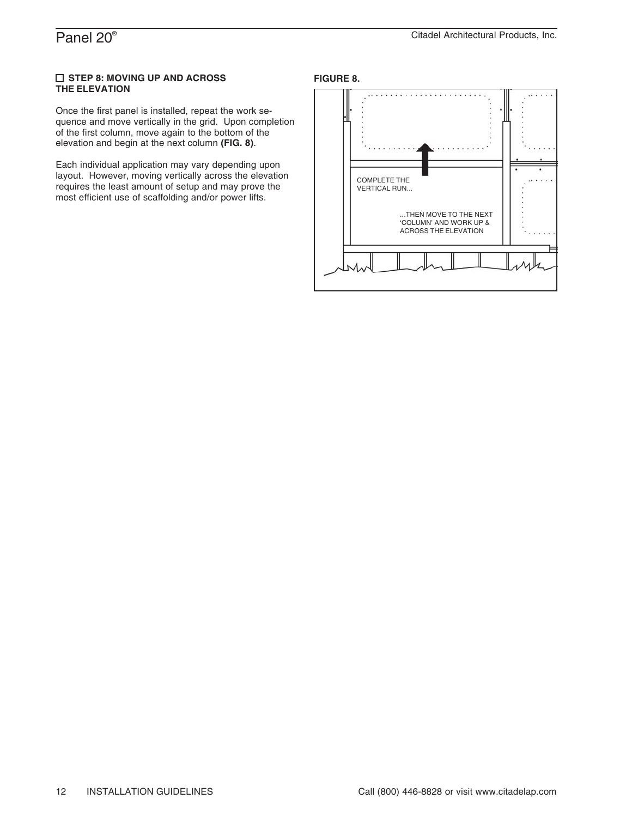#### **STEP 8: MOVING UP AND ACROSS THE ELEVATION**

Once the first panel is installed, repeat the work sequence and move vertically in the grid. Upon completion of the first column, move again to the bottom of the elevation and begin at the next column **(FIG. 8)**.

Each individual application may vary depending upon layout. However, moving vertically across the elevation requires the least amount of setup and may prove the most efficient use of scaffolding and/or power lifts.

#### **FIGURE 8.**

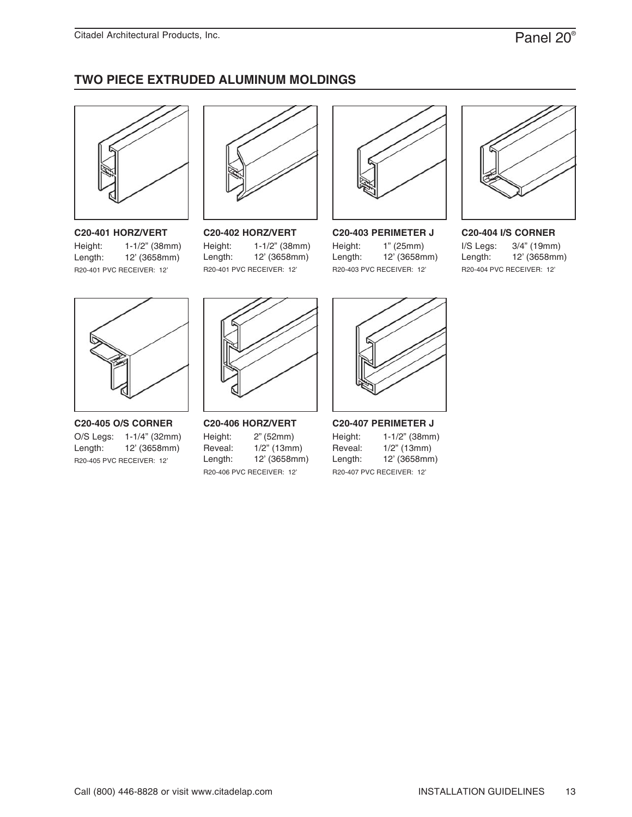# **TWO PIECE EXTRUDED ALUMINUM MOLDINGS**



## **C20-401 HORZ/VERT**

R20-401 PVC RECEIVER: 12' Height: Length: 1-1/2" (38mm) 12' (3658mm)



### **C20-402 HORZ/VERT**

R20-401 PVC RECEIVER: 12' Height: Length: 1-1/2" (38mm) 12' (3658mm)



**C20-403 PERIMETER J**

R20-403 PVC RECEIVER: 12' Height: Length: 1" (25mm) 12' (3658mm)



### **C20-404 I/S CORNER**

R20-404 PVC RECEIVER: 12' I/S Legs: Length: 3/4" (19mm) 12' (3658mm)



**C20-405 O/S CORNER** R20-405 PVC RECEIVER: 12' O/S Legs: 1-1/4" (32mm) Length: 12' (3658mm)



**C20-406 HORZ/VERT** R20-406 PVC RECEIVER: 12' Height: Reveal: Length: 2" (52mm) 1/2" (13mm) 12' (3658mm)



**C20-407 PERIMETER J** R20-407 PVC RECEIVER: 12' Height: Reveal: Length: 1-1/2" (38mm) 1/2" (13mm) 12' (3658mm)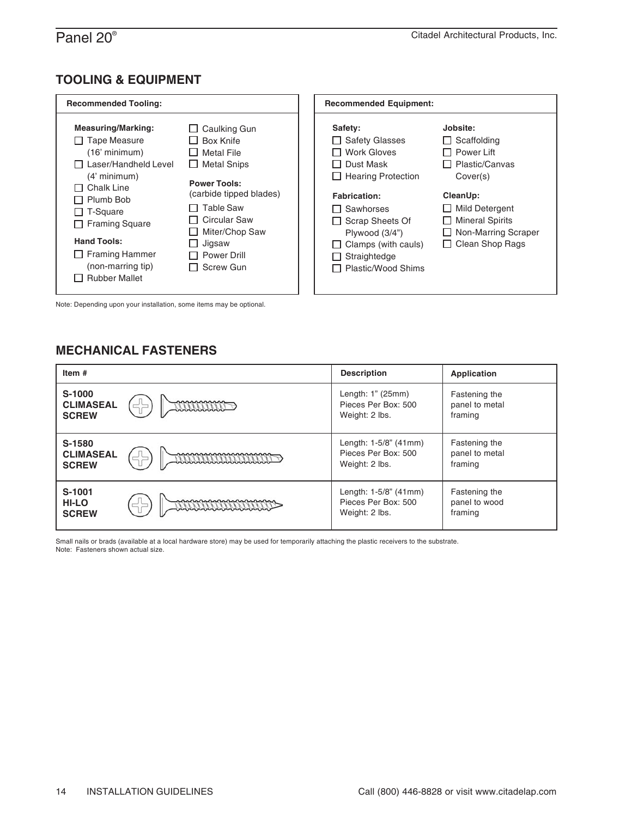## **TOOLING & EQUIPMENT**

| <b>Recommended Tooling:</b>                                                                                                                                                                                                                                                                             |                                                                                                                                                                                                                                          | <b>Recommended Equipment:</b>                                                                                                                                                                                                                            |                                                                                                                                                                                       |
|---------------------------------------------------------------------------------------------------------------------------------------------------------------------------------------------------------------------------------------------------------------------------------------------------------|------------------------------------------------------------------------------------------------------------------------------------------------------------------------------------------------------------------------------------------|----------------------------------------------------------------------------------------------------------------------------------------------------------------------------------------------------------------------------------------------------------|---------------------------------------------------------------------------------------------------------------------------------------------------------------------------------------|
| <b>Measuring/Marking:</b><br>$\Box$ Tape Measure<br>$(16'$ minimum)<br>$\Box$ Laser/Handheld Level<br>$(4'$ minimum)<br>Chalk Line<br>Plumb Bob<br>$\perp$<br>$\Box$ T-Square<br><b>Framing Square</b><br>П<br><b>Hand Tools:</b><br>$\Box$ Framing Hammer<br>(non-marring tip)<br><b>Rubber Mallet</b> | $\Box$ Caulking Gun<br><b>Box Knife</b><br>I I Metal File<br>$\Box$ Metal Snips<br><b>Power Tools:</b><br>(carbide tipped blades)<br>Table Saw<br>Circular Saw<br>Miter/Chop Saw<br>Jigsaw<br>$\perp$<br><b>Power Drill</b><br>Screw Gun | Safety:<br>$\Box$ Safety Glasses<br><b>Work Gloves</b><br>□ Dust Mask<br>$\Box$ Hearing Protection<br><b>Fabrication:</b><br>Sawhorses<br>II.<br>$\Box$ Scrap Sheets Of<br>Plywood (3/4")<br>Clamps (with cauls)<br>Straightedge<br>□ Plastic/Wood Shims | Jobsite:<br>Scaffolding<br>□ Power Lift<br>Plastic/Canvas<br>Cover(s)<br>CleanUp:<br><b>Mild Detergent</b><br><b>Mineral Spirits</b><br>Non-Marring Scraper<br>$\Box$ Clean Shop Rags |

Note: Depending upon your installation, some items may be optional.

## **MECHANICAL FASTENERS**

| Item#                                      |                                           | <b>Description</b>                                             | Application                                |
|--------------------------------------------|-------------------------------------------|----------------------------------------------------------------|--------------------------------------------|
| S-1000<br><b>CLIMASEAL</b><br><b>SCREW</b> | nnnnnnn                                   | Length: 1" (25mm)<br>Pieces Per Box: 500<br>Weight: 2 lbs.     | Fastening the<br>panel to metal<br>framing |
| S-1580<br><b>CLIMASEAL</b><br><b>SCREW</b> | <u> www.www.www.www.mw</u><br>ㄷ느          | Length: 1-5/8" (41mm)<br>Pieces Per Box: 500<br>Weight: 2 lbs. | Fastening the<br>panel to metal<br>framing |
| S-1001<br><b>HI-LO</b><br><b>SCREW</b>     | mananananananana<br><b>MANAMANAMANAMA</b> | Length: 1-5/8" (41mm)<br>Pieces Per Box: 500<br>Weight: 2 lbs. | Fastening the<br>panel to wood<br>framing  |

Small nails or brads (available at a local hardware store) may be used for temporarily attaching the plastic receivers to the substrate. Note: Fasteners shown actual size.